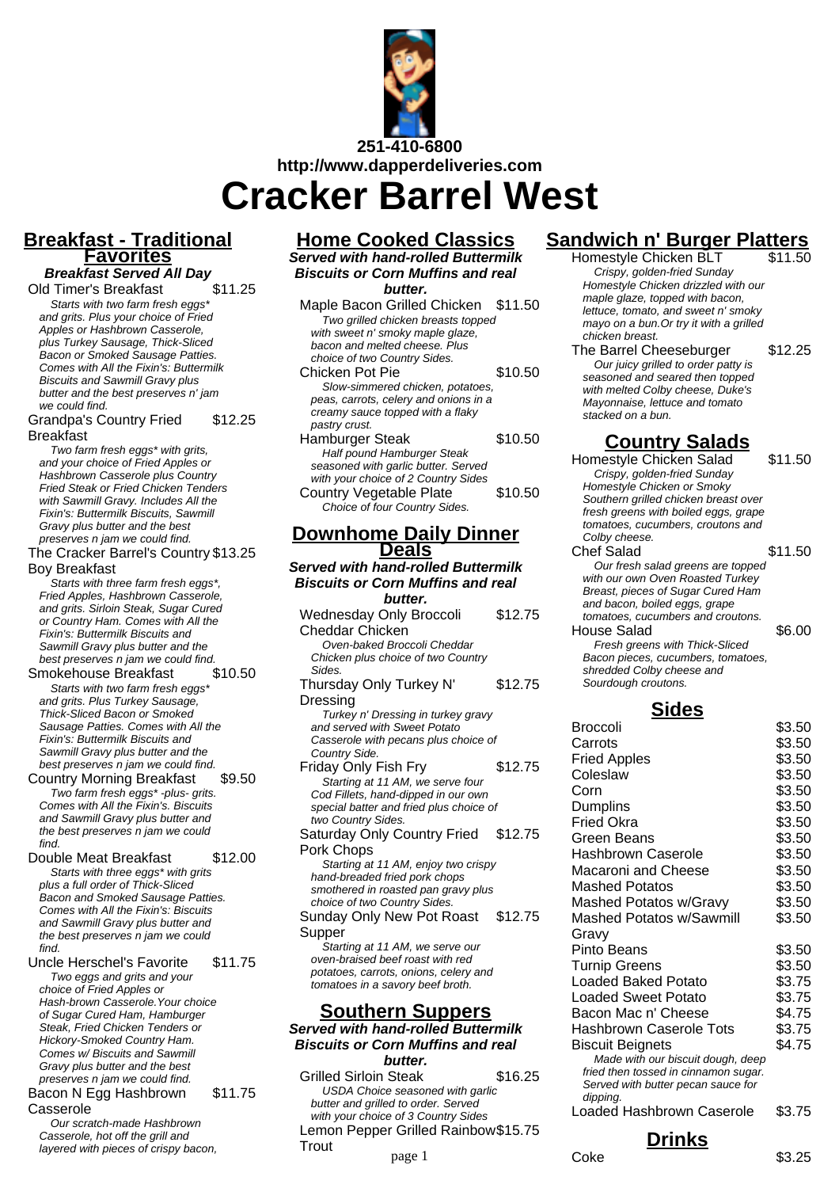

## **Breakfast - Traditional Favorites**

**Breakfast Served All Day**<br>d Timer's Breakfast \$11.25 Old Timer's Breakfast

Starts with two farm fresh eggs\* and grits. Plus your choice of Fried Apples or Hashbrown Casserole, plus Turkey Sausage, Thick-Sliced Bacon or Smoked Sausage Patties. Comes with All the Fixin's: Buttermilk Biscuits and Sawmill Gravy plus butter and the best preserves n' jam we could find.

#### Grandpa's Country Fried Breakfast \$12.25

Two farm fresh eggs\* with grits, and your choice of Fried Apples or Hashbrown Casserole plus Country Fried Steak or Fried Chicken Tenders with Sawmill Gravy. Includes All the Fixin's: Buttermilk Biscuits, Sawmill Gravy plus butter and the best preserves n jam we could find.

### The Cracker Barrel's Country \$13.25 Boy Breakfast

Starts with three farm fresh eggs<sup>\*</sup>. Fried Apples, Hashbrown Casserole, and grits. Sirloin Steak, Sugar Cured or Country Ham. Comes with All the Fixin's: Buttermilk Biscuits and Sawmill Gravy plus butter and the best preserves n jam we could find.<br>mokehouse Breakfast \$10.50

Smokehouse Breakfast Starts with two farm fresh eggs\* and grits. Plus Turkey Sausage, Thick-Sliced Bacon or Smoked Sausage Patties. Comes with All the Fixin's: Buttermilk Biscuits and Sawmill Gravy plus butter and the best preserves n jam we could find.

### Country Morning Breakfast \$9.50 Two farm fresh eggs\* -plus- grits. Comes with All the Fixin's. Biscuits and Sawmill Gravy plus butter and the best preserves n jam we could

find. Double Meat Breakfast \$12.00 Starts with three eggs<sup>\*</sup> with grits

plus a full order of Thick-Sliced Bacon and Smoked Sausage Patties. Comes with All the Fixin's: Biscuits and Sawmill Gravy plus butter and the best preserves n jam we could find.

Uncle Herschel's Favorite \$11.75 Two eggs and grits and your choice of Fried Apples or Hash-brown Casserole.Your choice of Sugar Cured Ham, Hamburger Steak, Fried Chicken Tenders or Hickory-Smoked Country Ham. Comes w/ Biscuits and Sawmill Gravy plus butter and the best preserves n jam we could find.

Bacon N Egg Hashbrown Casserole \$11.75

### Our scratch-made Hashbrown Casserole, hot off the grill and layered with pieces of crispy bacon,

## **Home Cooked Classics**

**Served with hand-rolled Buttermilk Biscuits or Corn Muffins and real butter.**

| Maple Bacon Grilled Chicken           | \$11.50 |
|---------------------------------------|---------|
| Two grilled chicken breasts topped    |         |
| with sweet n' smoky maple glaze.      |         |
| bacon and melted cheese. Plus         |         |
| choice of two Country Sides.          |         |
| Chicken Pot Pie                       | \$10.50 |
| Slow-simmered chicken, potatoes,      |         |
| peas, carrots, celery and onions in a |         |
| creamy sauce topped with a flaky      |         |
| pastry crust.                         |         |
| Hamburger Steak                       | \$10.50 |
| Half pound Hamburger Steak            |         |
| seasoned with garlic butter. Served   |         |
| with your choice of 2 Country Sides   |         |
| Country Vegetable Plate               | \$10.50 |
| Choice of four Country Sides.         |         |

## **Downhome Daily Dinner Deals**

**Served with hand-rolled Buttermilk Biscuits or Corn Muffins and real butter.** Wednesday Only Broccoli \$12.75

Cheddar Chicken Oven-baked Broccoli Cheddar Chicken plus choice of two Country Sides. Thursday Only Turkey N' \$12.75

Dressing Turkey n' Dressing in turkey gravy and served with Sweet Potato Casserole with pecans plus choice of Country Side.

Friday Only Fish Fry \$12.75 Starting at 11 AM, we serve four Cod Fillets, hand-dipped in our own special batter and fried plus choice of two Country Sides. Saturday Only Country Fried Pork Chops \$12.75 Starting at 11 AM, enjoy two crispy hand-breaded fried pork chops smothered in roasted pan gravy plus

choice of two Country Sides. Sunday Only New Pot Roast **Supper** \$12.75

Starting at 11 AM, we serve our oven-braised beef roast with red potatoes, carrots, onions, celery and tomatoes in a savory beef broth.

## **Southern Suppers**

**Served with hand-rolled Buttermilk Biscuits or Corn Muffins and real**

**butter.** Grilled Sirloin Steak \$16.25 USDA Choice seasoned with garlic butter and grilled to order. Served with your choice of 3 Country Sides Lemon Pepper Grilled Rainbow \$15.75 **Trout** page 1 Coke \$3.25

# **Sandwich n' Burger Platters**

Homestyle Chicken BLT Crispy, golden-fried Sunday Homestyle Chicken drizzled with our maple glaze, topped with bacon, lettuce, tomato, and sweet n' smoky mayo on a bun.Or try it with a grilled chicken breast.

The Barrel Cheeseburger \$12.25 Our juicy grilled to order patty is seasoned and seared then topped with melted Colby cheese, Duke's Mayonnaise, lettuce and tomato stacked on a bun.

## **Country Salads**

| \$11.50                              |
|--------------------------------------|
|                                      |
|                                      |
|                                      |
| fresh greens with boiled eggs, grape |
|                                      |
|                                      |
| \$11.50                              |
| Our fresh salad greens are topped    |
|                                      |
|                                      |
|                                      |
|                                      |
| \$6.00                               |
|                                      |
| Bacon pieces, cucumbers, tomatoes,   |
|                                      |
|                                      |
| Southern grilled chicken breast over |

## **Sides**

| Broccoli                                                                   | \$3.50 |
|----------------------------------------------------------------------------|--------|
| Carrots                                                                    | \$3.50 |
| <b>Fried Apples</b>                                                        | \$3.50 |
| Coleslaw                                                                   | \$3.50 |
| Corn                                                                       | \$3.50 |
| Dumplins                                                                   | \$3.50 |
| Fried Okra                                                                 | \$3.50 |
| Green Beans                                                                | \$3.50 |
| Hashbrown Caserole                                                         | \$3.50 |
| Macaroni and Cheese                                                        | \$3.50 |
| <b>Mashed Potatos</b>                                                      | \$3.50 |
| Mashed Potatos w/Gravy                                                     | \$3.50 |
| Mashed Potatos w/Sawmill                                                   | \$3.50 |
| Gravy                                                                      |        |
| Pinto Beans                                                                | \$3.50 |
| <b>Turnip Greens</b>                                                       | \$3.50 |
| Loaded Baked Potato                                                        | \$3.75 |
| Loaded Sweet Potato                                                        | \$3.75 |
| Bacon Mac n' Cheese                                                        | \$4.75 |
| Hashbrown Caserole Tots                                                    | \$3.75 |
| Biscuit Beignets                                                           | \$4.75 |
| Made with our biscuit dough, deep                                          |        |
| fried then tossed in cinnamon sugar.<br>Served with butter pecan sauce for |        |
| dipping.                                                                   |        |
| <b>Loaded Hashbrown Caserole</b>                                           | \$3.75 |
| Drinks                                                                     |        |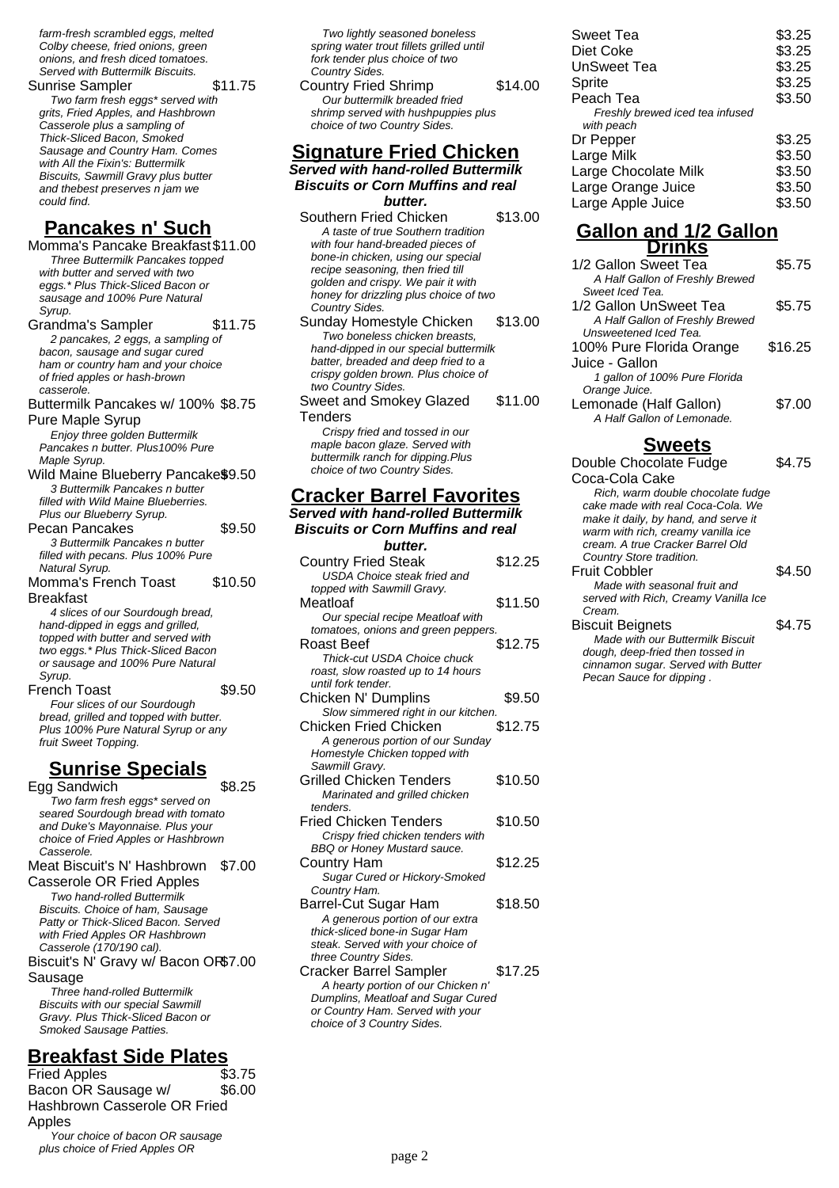farm-fresh scrambled eggs, melted Colby cheese, fried onions, green onions, and fresh diced tomatoes. Served with Buttermilk Biscuits.

Sunrise Sampler \$11.75 Two farm fresh eggs\* served with grits, Fried Apples, and Hashbrown Casserole plus a sampling of Thick-Sliced Bacon, Smoked Sausage and Country Ham. Comes with All the Fixin's: Buttermilk Biscuits, Sawmill Gravy plus butter and thebest preserves n jam we could find.

## **Pancakes n' Such**

Momma's Pancake Breakfast\$11.00 Three Buttermilk Pancakes topped with butter and served with two eggs.\* Plus Thick-Sliced Bacon or sausage and 100% Pure Natural Syrup.

Grandma's Sampler \$11.75 2 pancakes, 2 eggs, a sampling of bacon, sausage and sugar cured ham or country ham and your choice of fried apples or hash-brown casserole.

Buttermilk Pancakes w/ 100% \$8.75 Pure Maple Syrup

Enjoy three golden Buttermilk Pancakes n butter. Plus100% Pure Maple Syrup.

- Wild Maine Blueberry Pancake\$9.50 3 Buttermilk Pancakes n butter filled with Wild Maine Blueberries. Plus our Blueberry Syrup.
- Pecan Pancakes \$9.50 3 Buttermilk Pancakes n butter filled with pecans. Plus 100% Pure Natural Syrup. Momma's French Toast Breakfast \$10.50

4 slices of our Sourdough bread, hand-dipped in eggs and grilled, topped with butter and served with two eggs.\* Plus Thick-Sliced Bacon or sausage and 100% Pure Natural Syrup.

French Toast \$9.50 Four slices of our Sourdough bread, grilled and topped with butter. Plus 100% Pure Natural Syrup or any fruit Sweet Topping.

## **Sunrise Specials**

Egg Sandwich \$8.25 Two farm fresh eggs\* served on seared Sourdough bread with tomato and Duke's Mayonnaise. Plus your choice of Fried Apples or Hashbrown Casserole. Meat Biscuit's N' Hashbrown \$7.00 Casserole OR Fried Apples Two hand-rolled Buttermilk Biscuits. Choice of ham, Sausage Patty or Thick-Sliced Bacon. Served with Fried Apples OR Hashbrown Casserole (170/190 cal). Biscuit's N' Gravy w/ Bacon OR \$7.00 Sausage Three hand-rolled Buttermilk Biscuits with our special Sawmill

Gravy. Plus Thick-Sliced Bacon or Smoked Sausage Patties.

## **Breakfast Side Plates**

Fried Apples \$3.75 Bacon OR Sausage w/ Hashbrown Casserole OR Fried Apples \$6.00 Your choice of bacon OR sausage plus choice of Fried Apples OR

Two lightly seasoned boneless spring water trout fillets grilled until fork tender plus choice of two Country Sides. Country Fried Shrimp \$14.00 Our buttermilk breaded fried shrimp served with hushpuppies plus

## **Signature Fried Chicken**

choice of two Country Sides.

**Served with hand-rolled Buttermilk Biscuits or Corn Muffins and real butter.**

Southern Fried Chicken \$13.00 A taste of true Southern tradition with four hand-breaded pieces of bone-in chicken, using our special recipe seasoning, then fried till golden and crispy. We pair it with honey for drizzling plus choice of two Country Sides.

Sunday Homestyle Chicken \$13.00 Two boneless chicken breasts, hand-dipped in our special buttermilk batter, breaded and deep fried to a crispy golden brown. Plus choice of two Country Sides. Sweet and Smokey Glazed \$11.00

**Tenders** Crispy fried and tossed in our maple bacon glaze. Served with buttermilk ranch for dipping.Plus choice of two Country Sides.

## **Cracker Barrel Favorites**

**Served with hand-rolled Buttermilk**

| butter.<br>\$12.25<br><b>Country Fried Steak</b><br><b>USDA Choice steak fried and</b><br>topped with Sawmill Gravy.<br>\$11.50<br>Meatloaf<br>Our special recipe Meatloaf with<br>tomatoes, onions and green peppers.<br>\$12.75<br>Roast Beef<br>Thick-cut USDA Choice chuck<br>roast, slow roasted up to 14 hours<br>until fork tender.<br>\$9.50<br>Chicken N' Dumplins<br>Slow simmered right in our kitchen.<br><b>Chicken Fried Chicken</b><br>\$12.75 |
|---------------------------------------------------------------------------------------------------------------------------------------------------------------------------------------------------------------------------------------------------------------------------------------------------------------------------------------------------------------------------------------------------------------------------------------------------------------|
|                                                                                                                                                                                                                                                                                                                                                                                                                                                               |
|                                                                                                                                                                                                                                                                                                                                                                                                                                                               |
|                                                                                                                                                                                                                                                                                                                                                                                                                                                               |
|                                                                                                                                                                                                                                                                                                                                                                                                                                                               |
|                                                                                                                                                                                                                                                                                                                                                                                                                                                               |
|                                                                                                                                                                                                                                                                                                                                                                                                                                                               |
|                                                                                                                                                                                                                                                                                                                                                                                                                                                               |
|                                                                                                                                                                                                                                                                                                                                                                                                                                                               |
|                                                                                                                                                                                                                                                                                                                                                                                                                                                               |
|                                                                                                                                                                                                                                                                                                                                                                                                                                                               |
|                                                                                                                                                                                                                                                                                                                                                                                                                                                               |
|                                                                                                                                                                                                                                                                                                                                                                                                                                                               |
|                                                                                                                                                                                                                                                                                                                                                                                                                                                               |
|                                                                                                                                                                                                                                                                                                                                                                                                                                                               |
| A generous portion of our Sunday                                                                                                                                                                                                                                                                                                                                                                                                                              |
| Homestyle Chicken topped with                                                                                                                                                                                                                                                                                                                                                                                                                                 |
| Sawmill Gravy.                                                                                                                                                                                                                                                                                                                                                                                                                                                |
| Grilled Chicken Tenders<br>\$10.50                                                                                                                                                                                                                                                                                                                                                                                                                            |
| Marinated and grilled chicken                                                                                                                                                                                                                                                                                                                                                                                                                                 |
| tenders.                                                                                                                                                                                                                                                                                                                                                                                                                                                      |
| <b>Fried Chicken Tenders</b><br>\$10.50                                                                                                                                                                                                                                                                                                                                                                                                                       |
| Crispy fried chicken tenders with                                                                                                                                                                                                                                                                                                                                                                                                                             |
| BBQ or Honey Mustard sauce.                                                                                                                                                                                                                                                                                                                                                                                                                                   |
| \$12.25<br><b>Country Ham</b>                                                                                                                                                                                                                                                                                                                                                                                                                                 |
| Sugar Cured or Hickory-Smoked                                                                                                                                                                                                                                                                                                                                                                                                                                 |
| Country Ham.                                                                                                                                                                                                                                                                                                                                                                                                                                                  |
| \$18.50<br>Barrel-Cut Sugar Ham                                                                                                                                                                                                                                                                                                                                                                                                                               |
| A generous portion of our extra                                                                                                                                                                                                                                                                                                                                                                                                                               |
| thick-sliced bone-in Sugar Ham                                                                                                                                                                                                                                                                                                                                                                                                                                |
| steak. Served with your choice of                                                                                                                                                                                                                                                                                                                                                                                                                             |
| three Country Sides.<br>\$17.25                                                                                                                                                                                                                                                                                                                                                                                                                               |
| <b>Cracker Barrel Sampler</b>                                                                                                                                                                                                                                                                                                                                                                                                                                 |
| A hearty portion of our Chicken n'<br>Dumplins, Meatloaf and Sugar Cured                                                                                                                                                                                                                                                                                                                                                                                      |
| or Country Ham. Served with your                                                                                                                                                                                                                                                                                                                                                                                                                              |

choice of 3 Country Sides.

| \$3.25 |
|--------|
| \$3.25 |
| \$3.25 |
| \$3.25 |
| \$3.50 |
|        |
|        |
| \$3.25 |
| \$3.50 |
| \$3.50 |
| \$3.50 |
| \$3.50 |
|        |

### **Gallon and 1/2 Gallon Drinks**

| 1/2 Gallon Sweet Tea            | \$5.75  |
|---------------------------------|---------|
| A Half Gallon of Freshly Brewed |         |
| Sweet Iced Tea.                 |         |
| 1/2 Gallon UnSweet Tea          | \$5.75  |
| A Half Gallon of Freshly Brewed |         |
| Unsweetened Iced Tea.           |         |
| 100% Pure Florida Orange        | \$16.25 |
| Juice - Gallon                  |         |
| 1 gallon of 100% Pure Florida   |         |
| Orange Juice.                   |         |
| Lemonade (Half Gallon)          | \$7.00  |
| A Half Gallon of Lemonade.      |         |
|                                 |         |

## **Sweets**

Double Chocolate Fudge Coca-Cola Cake \$4.75 Rich, warm double chocolate fudge cake made with real Coca-Cola. We make it daily, by hand, and serve it warm with rich, creamy vanilla ice cream. A true Cracker Barrel Old Country Store tradition. Fruit Cobbler \$4.50 Made with seasonal fruit and served with Rich, Creamy Vanilla Ice Cream. Biscuit Beignets **\$4.75** Made with our Buttermilk Biscuit dough, deep-fried then tossed in cinnamon sugar. Served with Butter Pecan Sauce for dipping .